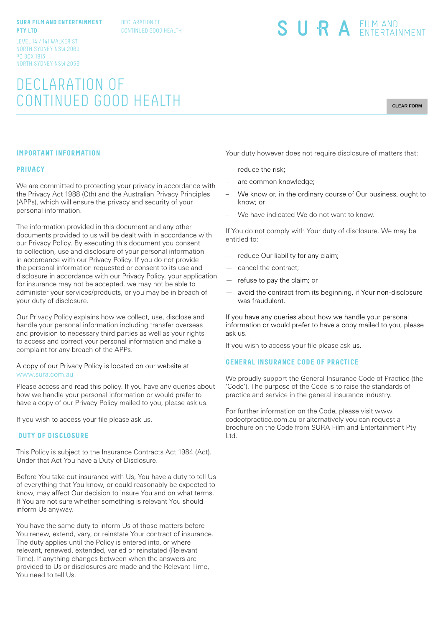#### **SURA FILM AND ENTERTAINMENT PTY LTD**

DECLARATION OF CONTINUED GOOD HEALTH SURA EILM AND

LEVEL 14 / 141 WALKER ST NORTH SYDNEY NSW 2060 PO BOX 1813 NORTH SYDNEY NSW 2059

# DECLARATION OF CONTINUED GOOD HEALTH

**CLEAR FORM**

### **IMPORTANT INFORMATION**

#### **PRIVACY**

We are committed to protecting your privacy in accordance with the Privacy Act 1988 (Cth) and the Australian Privacy Principles (APPs), which will ensure the privacy and security of your personal information.

The information provided in this document and any other documents provided to us will be dealt with in accordance with our Privacy Policy. By executing this document you consent to collection, use and disclosure of your personal information in accordance with our Privacy Policy. If you do not provide the personal information requested or consent to its use and disclosure in accordance with our Privacy Policy, your application for insurance may not be accepted, we may not be able to administer your services/products, or you may be in breach of your duty of disclosure.

Our Privacy Policy explains how we collect, use, disclose and handle your personal information including transfer overseas and provision to necessary third parties as well as your rights to access and correct your personal information and make a complaint for any breach of the APPs.

A copy of our Privacy Policy is located on our website at www.sura.com.au

Please access and read this policy. If you have any queries about how we handle your personal information or would prefer to have a copy of our Privacy Policy mailed to you, please ask us.

If you wish to access your file please ask us.

## **DUTY OF DISCLOSURE**

This Policy is subject to the Insurance Contracts Act 1984 (Act). Under that Act You have a Duty of Disclosure.

Before You take out insurance with Us, You have a duty to tell Us of everything that You know, or could reasonably be expected to know, may affect Our decision to insure You and on what terms. If You are not sure whether something is relevant You should inform Us anyway.

You have the same duty to inform Us of those matters before You renew, extend, vary, or reinstate Your contract of insurance. The duty applies until the Policy is entered into, or where relevant, renewed, extended, varied or reinstated (Relevant Time). If anything changes between when the answers are provided to Us or disclosures are made and the Relevant Time, You need to tell Us.

Your duty however does not require disclosure of matters that:

- reduce the risk;
- are common knowledge;
- We know or, in the ordinary course of Our business, ought to know; or
- We have indicated We do not want to know.

If You do not comply with Your duty of disclosure, We may be entitled to:

- reduce Our liability for any claim;
- cancel the contract;
- refuse to pay the claim; or
- avoid the contract from its beginning, if Your non-disclosure was fraudulent.

If you have any queries about how we handle your personal information or would prefer to have a copy mailed to you, please ask us.

If you wish to access your file please ask us.

#### **GENERAL INSURANCE CODE OF PRACTICE**

We proudly support the General Insurance Code of Practice (the 'Code'). The purpose of the Code is to raise the standards of practice and service in the general insurance industry.

For further information on the Code, please visit www. codeofpractice.com.au or alternatively you can request a brochure on the Code from SURA Film and Entertainment Pty Ltd.